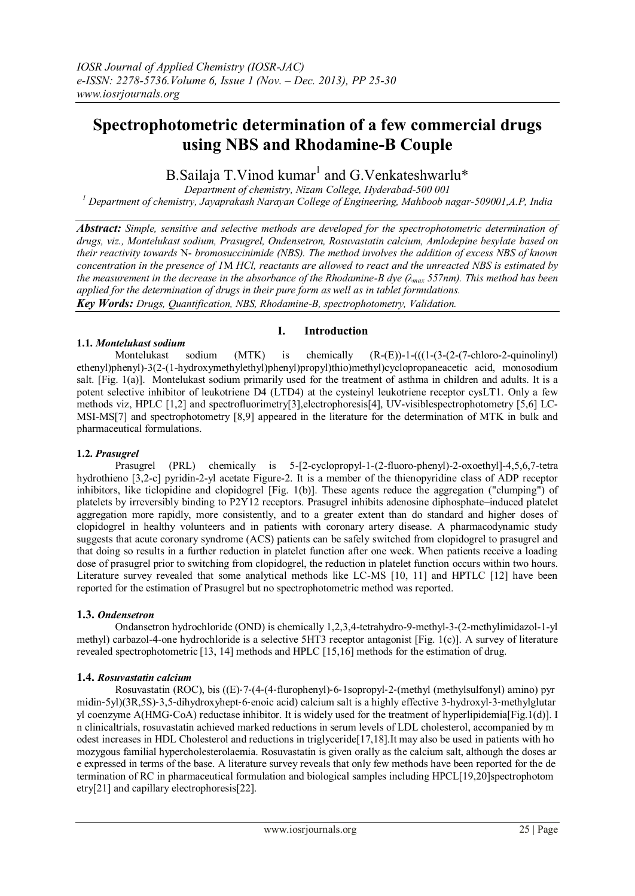# **Spectrophotometric determination of a few commercial drugs using NBS and Rhodamine-B Couple**

B.Sailaja T.Vinod kumar<sup>1</sup> and G.Venkateshwarlu\*

*Department of chemistry, Nizam College, Hyderabad-500 001 <sup>1</sup> Department of chemistry, Jayaprakash Narayan College of Engineering, Mahboob nagar-509001,A.P, India*

*Abstract: Simple, sensitive and selective methods are developed for the spectrophotometric determination of drugs, viz., Montelukast sodium, Prasugrel, Ondensetron, Rosuvastatin calcium, Amlodepine besylate based on their reactivity towards* N- *bromosuccinimide (NBS). The method involves the addition of excess NBS of known concentration in the presence of 1*M *HCl, reactants are allowed to react and the unreacted NBS is estimated by the measurement in the decrease in the absorbance of the Rhodamine-B dye (λmax 557nm). This method has been applied for the determination of drugs in their pure form as well as in tablet formulations. Key Words: Drugs, Quantification, NBS, Rhodamine-B, spectrophotometry, Validation.*

# **1.1.** *Montelukast sodium*

#### **I. Introduction**

Montelukast sodium (MTK) is chemically  $(R-(E))$ -1- $(((1-(3-(2-(7-chloro-2-quinolinyl))$ ethenyl)phenyl)-3(2-(1-hydroxymethylethyl)phenyl)propyl)thio)methyl)cyclopropaneacetic acid, monosodium salt. [Fig. 1(a)]. Montelukast sodium primarily used for the treatment of asthma in children and adults. It is a potent selective inhibitor of leukotriene D4 (LTD4) at the cysteinyl leukotriene receptor cysLT1. Only a few methods viz, HPLC [1,2] and spectrofluorimetry[3],electrophoresis[4], UV-visiblespectrophotometry [5,6] LC-MSI-MS[7] and spectrophotometry [8,9] appeared in the literature for the determination of MTK in bulk and pharmaceutical formulations.

# **1.2.** *Prasugrel*

Prasugrel (PRL) chemically is 5-[2-cyclopropyl-1-(2-fluoro-phenyl)-2-oxoethyl]-4,5,6,7-tetra hydrothieno [3,2-c] pyridin-2-yl acetate Figure-2. It is a member of the thienopyridine class of ADP receptor inhibitors, like ticlopidine and clopidogrel [Fig. 1(b)]. These agents reduce the aggregation ("clumping") of platelets by irreversibly binding to P2Y12 receptors. Prasugrel inhibits adenosine diphosphate–induced platelet aggregation more rapidly, more consistently, and to a greater extent than do standard and higher doses of clopidogrel in healthy volunteers and in patients with coronary artery disease. A pharmacodynamic study suggests that acute coronary syndrome (ACS) patients can be safely switched from clopidogrel to prasugrel and that doing so results in a further reduction in platelet function after one week. When patients receive a loading dose of prasugrel prior to switching from clopidogrel, the reduction in platelet function occurs within two hours. Literature survey revealed that some analytical methods like LC-MS [10, 11] and HPTLC [12] have been reported for the estimation of Prasugrel but no spectrophotometric method was reported.

# **1.3.** *Ondensetron*

Ondansetron hydrochloride (OND) is chemically 1,2,3,4-tetrahydro-9-methyl-3-(2-methylimidazol-1-yl methyl) carbazol-4-one hydrochloride is a selective 5HT3 receptor antagonist [Fig. 1(c)]. A survey of literature revealed spectrophotometric [13, 14] methods and HPLC [15,16] methods for the estimation of drug.

# **1.4.** *Rosuvastatin calcium*

Rosuvastatin (ROC), bis ((E)‐7‐(4‐(4‐flurophenyl)‐6‐1sopropyl‐2‐(methyl (methylsulfonyl) amino) pyr midin‐5yl)(3R,5S)‐3,5‐dihydroxyhept‐6‐enoic acid) calcium salt is a highly effective 3‐hydroxyl‐3‐methylglutar yl coenzyme A(HMG‐CoA) reductase inhibitor. It is widely used for the treatment of hyperlipidemia[Fig.1(d)]. I n clinicaltrials, rosuvastatin achieved marked reductions in serum levels of LDL cholesterol, accompanied by m odest increases in HDL Cholesterol and reductions in triglyceride[17,18].It may also be used in patients with ho mozygous familial hypercholesterolaemia. Rosuvastatin is given orally as the calcium salt, although the doses ar e expressed in terms of the base. A literature survey reveals that only few methods have been reported for the de termination of RC in pharmaceutical formulation and biological samples including HPCL[19,20]spectrophotom etry[21] and capillary electrophoresis[22].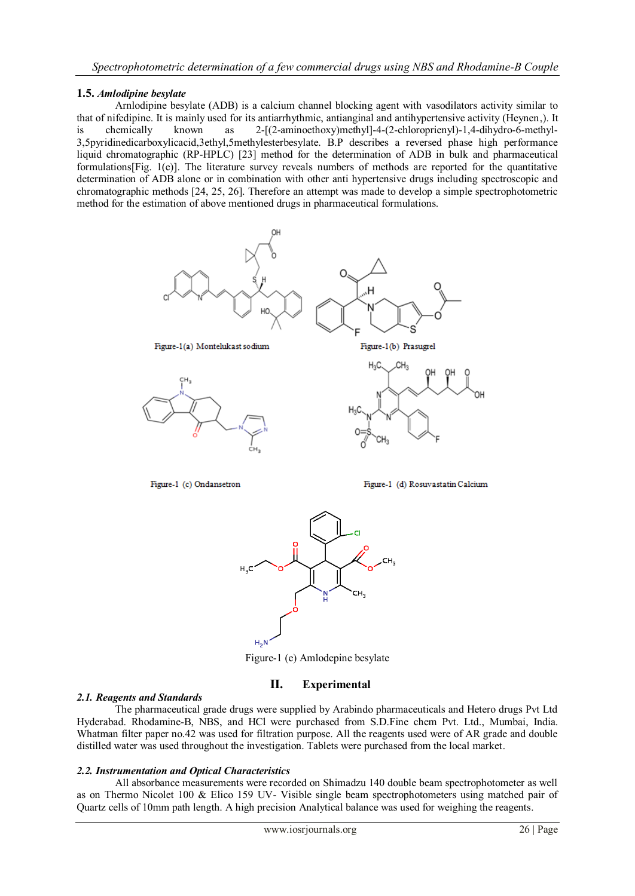# **1.5.** *Amlodipine besylate*

Arnlodipine besylate (ADB) is a calcium channel blocking agent with vasodilators activity similar to that of nifedipine. It is mainly used for its antiarrhythmic, antianginal and antihypertensive activity (Heynen,). It is chemically known as 2-[(2-aminoethoxy)methyl]-4-(2-chloroprienyl)-1,4-dihydro-6-methyl-3,5pyridinedicarboxylicacid,3ethyl,5methylesterbesylate. B.P describes a reversed phase high performance liquid chromatographic (RP-HPLC) [23] method for the determination of ADB in bulk and pharmaceutical formulations[Fig. 1(e)]. The literature survey reveals numbers of methods are reported for the quantitative determination of ADB alone or in combination with other anti hypertensive drugs including spectroscopic and chromatographic methods [24, 25, 26]. Therefore an attempt was made to develop a simple spectrophotometric method for the estimation of above mentioned drugs in pharmaceutical formulations.





Figure-1 (e) Amlodepine besylate

# **II. Experimental**

#### *2.1. Reagents and Standards*

The pharmaceutical grade drugs were supplied by Arabindo pharmaceuticals and Hetero drugs Pvt Ltd Hyderabad. Rhodamine-B, NBS, and HCl were purchased from S.D.Fine chem Pvt. Ltd., Mumbai, India. Whatman filter paper no.42 was used for filtration purpose. All the reagents used were of AR grade and double distilled water was used throughout the investigation. Tablets were purchased from the local market.

#### *2.2. Instrumentation and Optical Characteristics*

All absorbance measurements were recorded on Shimadzu 140 double beam spectrophotometer as well as on Thermo Nicolet 100 & Elico 159 UV- Visible single beam spectrophotometers using matched pair of Quartz cells of 10mm path length. A high precision Analytical balance was used for weighing the reagents.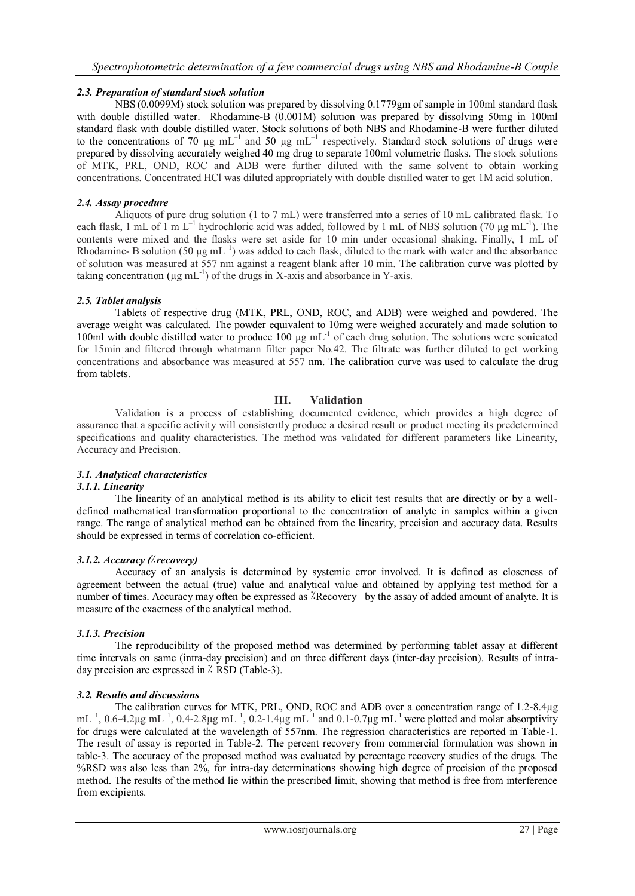# *2.3. Preparation of standard stock solution*

NBS (0.0099M) stock solution was prepared by dissolving 0.1779gm of sample in 100ml standard flask with double distilled water. Rhodamine-B (0.001M) solution was prepared by dissolving 50mg in 100ml standard flask with double distilled water. Stock solutions of both NBS and Rhodamine-B were further diluted to the concentrations of 70  $\mu$ g mL<sup>-1</sup> and 50  $\mu$ g mL<sup>-1</sup> respectively. Standard stock solutions of drugs were prepared by dissolving accurately weighed 40 mg drug to separate 100ml volumetric flasks. The stock solutions of MTK, PRL, OND, ROC and ADB were further diluted with the same solvent to obtain working concentrations. Concentrated HCl was diluted appropriately with double distilled water to get 1M acid solution.

#### *2.4. Assay procedure*

Aliquots of pure drug solution (1 to 7 mL) were transferred into a series of 10 mL calibrated flask. To each flask, 1 mL of 1 m  $L^{-1}$  hydrochloric acid was added, followed by 1 mL of NBS solution (70 µg m $L^{-1}$ ). The contents were mixed and the flasks were set aside for 10 min under occasional shaking. Finally, 1 mL of Rhodamine- B solution (50  $\mu$ g mL<sup>-1</sup>) was added to each flask, diluted to the mark with water and the absorbance of solution was measured at 557 nm against a reagent blank after 10 min. The calibration curve was plotted by taking concentration ( $\mu$ g mL<sup>-1</sup>) of the drugs in X-axis and absorbance in Y-axis.

#### *2.5. Tablet analysis*

Tablets of respective drug (MTK, PRL, OND, ROC, and ADB) were weighed and powdered. The average weight was calculated. The powder equivalent to 10mg were weighed accurately and made solution to 100ml with double distilled water to produce 100 µg mL<sup>-1</sup> of each drug solution. The solutions were sonicated for 15min and filtered through whatmann filter paper No.42. The filtrate was further diluted to get working concentrations and absorbance was measured at 557 nm. The calibration curve was used to calculate the drug from tablets.

# **III. Validation**

Validation is a process of establishing documented evidence, which provides a high degree of assurance that a specific activity will consistently produce a desired result or product meeting its predetermined specifications and quality characteristics. The method was validated for different parameters like Linearity, Accuracy and Precision.

# *3.1. Analytical characteristics*

# *3.1.1. Linearity*

The linearity of an analytical method is its ability to elicit test results that are directly or by a welldefined mathematical transformation proportional to the concentration of analyte in samples within a given range. The range of analytical method can be obtained from the linearity, precision and accuracy data. Results should be expressed in terms of correlation co-efficient.

# *3.1.2. Accuracy (***٪***recovery)*

Accuracy of an analysis is determined by systemic error involved. It is defined as closeness of agreement between the actual (true) value and analytical value and obtained by applying test method for a number of times. Accuracy may often be expressed as <sup>7</sup>Recovery by the assay of added amount of analyte. It is measure of the exactness of the analytical method.

#### *3.1.3. Precision*

The reproducibility of the proposed method was determined by performing tablet assay at different time intervals on same (intra-day precision) and on three different days (inter-day precision). Results of intraday precision are expressed in **٪** RSD (Table-3).

#### *3.2. Results and discussions*

The calibration curves for MTK, PRL, OND, ROC and ADB over a concentration range of 1.2-8.4µg  $mL^{-1}$ , 0.6-4.2µg mL<sup>-1</sup>, 0.4-2.8µg mL<sup>-1</sup>, 0.2-1.4µg mL<sup>-1</sup> and 0.1-0.7µg mL<sup>-1</sup> were plotted and molar absorptivity for drugs were calculated at the wavelength of 557nm. The regression characteristics are reported in Table-1. The result of assay is reported in Table-2. The percent recovery from commercial formulation was shown in table-3. The accuracy of the proposed method was evaluated by percentage recovery studies of the drugs. The %RSD was also less than 2%, for intra-day determinations showing high degree of precision of the proposed method. The results of the method lie within the prescribed limit, showing that method is free from interference from excipients.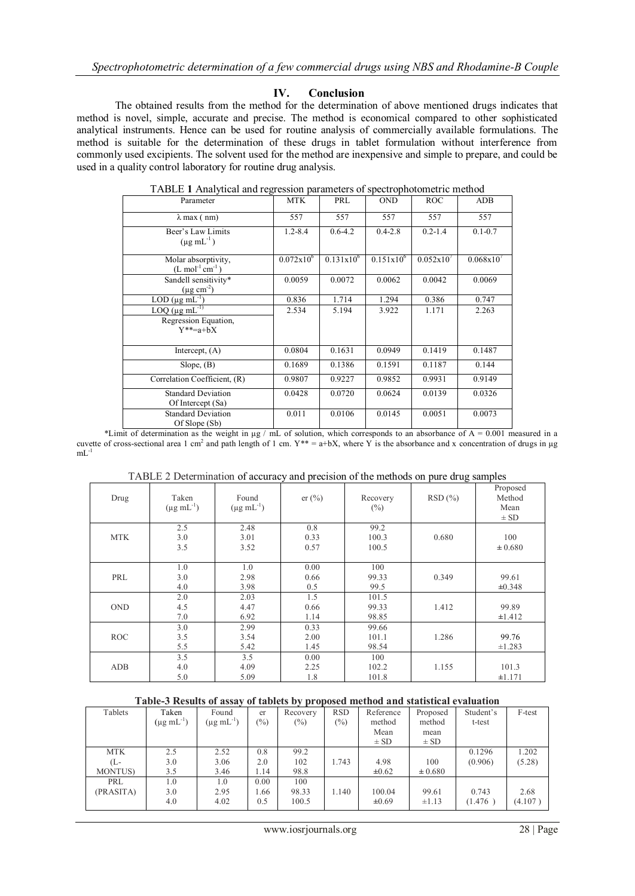# **IV. Conclusion**

The obtained results from the method for the determination of above mentioned drugs indicates that method is novel, simple, accurate and precise. The method is economical compared to other sophisticated analytical instruments. Hence can be used for routine analysis of commercially available formulations. The method is suitable for the determination of these drugs in tablet formulation without interference from commonly used excipients. The solvent used for the method are inexpensive and simple to prepare, and could be used in a quality control laboratory for routine drug analysis.

| Parameter                                                                 | <b>MTK</b>          | PRL                   | <b>OND</b>     | <b>ROC</b>  | <b>ADB</b>     |
|---------------------------------------------------------------------------|---------------------|-----------------------|----------------|-------------|----------------|
| $\lambda$ max (nm)                                                        | 557                 | 557                   | 557            | 557         | 557            |
| Beer's Law Limits<br>$(\mu g \text{ mL}^{-1})$                            | $1.2 - 8.4$         | $0.6 - 4.2$           | $0.4 - 2.8$    | $0.2 - 1.4$ | $0.1 - 0.7$    |
| Molar absorptivity,<br>$(L \text{ mol}^{-1} \text{ cm}^{-1})$             | $0.072 \times 10^6$ | $0.131 \times 10^{6}$ | $0.151x10^{6}$ | 0.052x10'   | $0.068x10^{7}$ |
| Sandell sensitivity*<br>$(\mu$ g cm <sup>-2</sup> )                       | 0.0059              | 0.0072                | 0.0062         | 0.0042      | 0.0069         |
| LOD ( $\mu$ g mL <sup>-1</sup> )                                          | 0.836               | 1.714                 | 1.294          | 0.386       | 0.747          |
| $LOQ$ (µg mL <sup>-1)</sup><br>Regression Equation,<br>$Y^*$ = $a$ + $bX$ | 2.534               | 5.194                 | 3.922          | 1.171       | 2.263          |
| Intercept, $(A)$                                                          | 0.0804              | 0.1631                | 0.0949         | 0.1419      | 0.1487         |
| Slope, $(B)$                                                              | 0.1689              | 0.1386                | 0.1591         | 0.1187      | 0.144          |
| Correlation Coefficient, (R)                                              | 0.9807              | 0.9227                | 0.9852         | 0.9931      | 0.9149         |
| <b>Standard Deviation</b><br>Of Intercept (Sa)                            | 0.0428              | 0.0720                | 0.0624         | 0.0139      | 0.0326         |
| <b>Standard Deviation</b><br>Of Slope (Sb)                                | 0.011               | 0.0106                | 0.0145         | 0.0051      | 0.0073         |

TABLE **1** Analytical and regression parameters of spectrophotometric method

\*Limit of determination as the weight in  $\mu$ g / mL of solution, which corresponds to an absorbance of A = 0.001 measured in a cuvette of cross-sectional area 1 cm<sup>2</sup> and path length of 1 cm.  $Y^{**} = a+bX$ , where Y is the absorbance and x concentration of drugs in µg mL<sup>-1</sup>

|            |                                    |                               |                      |                         | .      |                                        |
|------------|------------------------------------|-------------------------------|----------------------|-------------------------|--------|----------------------------------------|
| Drug       | Taken<br>$(\mu g \text{ mL}^{-1})$ | Found<br>$(\mu g \, mL^{-1})$ | er(%)                | Recovery<br>$(\%)$      | RSD(%) | Proposed<br>Method<br>Mean<br>$\pm$ SD |
| <b>MTK</b> | 2.5<br>3.0<br>3.5                  | 2.48<br>3.01<br>3.52          | 0.8<br>0.33<br>0.57  | 99.2<br>100.3<br>100.5  | 0.680  | 100<br>± 0.680                         |
| PRL        | 1.0<br>3.0<br>4.0                  | 1.0<br>2.98<br>3.98           | 0.00<br>0.66<br>0.5  | 100<br>99.33<br>99.5    | 0.349  | 99.61<br>±0.348                        |
| <b>OND</b> | 2.0<br>4.5<br>7.0                  | 2.03<br>4.47<br>6.92          | 1.5<br>0.66<br>1.14  | 101.5<br>99.33<br>98.85 | 1.412  | 99.89<br>±1.412                        |
| <b>ROC</b> | 3.0<br>3.5<br>5.5                  | 2.99<br>3.54<br>5.42          | 0.33<br>2.00<br>1.45 | 99.66<br>101.1<br>98.54 | 1.286  | 99.76<br>±1.283                        |
| ADB        | 3.5<br>4.0<br>5.0                  | 3.5<br>4.09<br>5.09           | 0.00<br>2.25<br>1.8  | 100<br>102.2<br>101.8   | 1.155  | 101.3<br>±1.171                        |

TABLE 2 Determination of accuracy and precision of the methods on pure drug samples

#### **Table-3 Results of assay of tablets by proposed method and statistical evaluation**

| Tablets         | Taken                     | Found                | er     | Recovery | <b>RSD</b>    | Reference  | Proposed    | Student's | F-test  |
|-----------------|---------------------------|----------------------|--------|----------|---------------|------------|-------------|-----------|---------|
|                 | $(\mu g \text{ mL}^{-1})$ | $(\mu g \, mL^{-1})$ | $(\%)$ | $(\%)$   | $\frac{6}{2}$ | method     | method      | t-test    |         |
|                 |                           |                      |        |          |               | Mean       | mean        |           |         |
|                 |                           |                      |        |          |               | $\pm$ SD   | $\pm$ SD    |           |         |
| <b>MTK</b>      | 2.5                       | 2.52                 | 0.8    | 99.2     |               |            |             | 0.1296    | 1.202   |
| (L-             | 3.0                       | 3.06                 | 2.0    | 102      | 1.743         | 4.98       | 100         | (0.906)   | (5.28)  |
| <b>MONTUS</b> ) | 3.5                       | 3.46                 | 1.14   | 98.8     |               | $\pm 0.62$ | $\pm 0.680$ |           |         |
| PRL             | 1.0                       | 1.0                  | 0.00   | 100      |               |            |             |           |         |
| (PRASITA)       | 3.0                       | 2.95                 | 1.66   | 98.33    | 1.140         | 100.04     | 99.61       | 0.743     | 2.68    |
|                 | 4.0                       | 4.02                 | 0.5    | 100.5    |               | $\pm 0.69$ | ±1.13       | (1.476)   | (4.107) |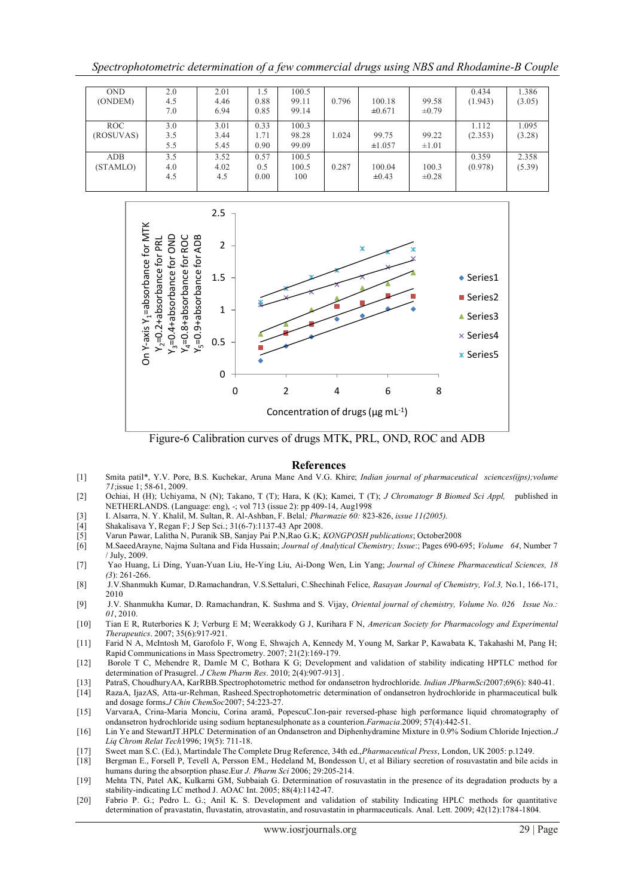*Spectrophotometric determination of a few commercial drugs using NBS and Rhodamine-B Couple*

| <b>OND</b><br>(ONDEM)  | 2.0<br>4.5<br>7.0 | 2.01<br>4.46<br>6.94 | 0.88<br>0.85         | 100.5<br>99.11<br>99.14 | 0.796 | 100.18<br>±0.671     | 99.58<br>$\pm 0.79$ | 0.434<br>(1.943) | 1.386<br>(3.05) |
|------------------------|-------------------|----------------------|----------------------|-------------------------|-------|----------------------|---------------------|------------------|-----------------|
| ROC<br>(ROSUVAS)       | 3.0<br>3.5<br>5.5 | 3.01<br>3.44<br>5.45 | 0.33<br>1.71<br>0.90 | 100.3<br>98.28<br>99.09 | 1.024 | 99.75<br>±1.057      | 99.22<br>$\pm 1.01$ | 1.112<br>(2.353) | 1.095<br>(3.28) |
| <b>ADB</b><br>(STAMLO) | 3.5<br>4.0<br>4.5 | 3.52<br>4.02<br>4.5  | 0.57<br>0.5<br>0.00  | 100.5<br>100.5<br>100   | 0.287 | 100.04<br>$\pm 0.43$ | 100.3<br>$\pm 0.28$ | 0.359<br>(0.978) | 2.358<br>(5.39) |



Figure-6 Calibration curves of drugs MTK, PRL, OND, ROC and ADB

#### **References**

- [1] Smita patil\*, Y.V. Pore, B.S. Kuchekar, Aruna Mane And V.G. Khire; *Indian journal of pharmaceutical sciences(ijps);volume 71*;issue 1; 58-61, 2009.
- [2] Ochiai, H (H); Uchiyama, N (N); Takano, T (T); Hara, K (K); Kamei, T (T); *J Chromatogr B Biomed Sci Appl,* published in NETHERLANDS. (Language: eng), -; vol 713 (issue 2): pp 409-14, Aug1998
- [3] I. Alsarra, N. Y. Khalil, M. Sultan, R. Al-Ashban, F. Belal*; Pharmazie 60:* 823-826, *issue 11(2005).*
- [4] Shakalisava Y, Regan F; J Sep Sci.; 31(6-7):1137-43 Apr 2008.
- [5] Varun Pawar, Lalitha N, Puranik SB, Sanjay Pai P.N,Rao G.K; *KONGPOSH publications*; October2008
- [6] M.SaeedArayne, Najma Sultana and Fida Hussain; *Journal of Analytical Chemistry; Issue*:; Pages 690-695; *Volume 64*, Number 7 / July, 2009.
- [7] Yao Huang, Li Ding, Yuan-Yuan Liu, He-Ying Liu, Ai-Dong Wen, Lin Yang; *Journal of Chinese Pharmaceutical Sciences, 18 (3*): 261-266.
- [8] J.V.Shanmukh Kumar, D.Ramachandran, V.S.Settaluri, C.Shechinah Felice, *Rasayan Journal of Chemistry, Vol.3,* No.1, 166-171, 2010
- [9] J.V. Shanmukha Kumar, D. Ramachandran, K. Sushma and S. Vijay, *Oriental journal of chemistry, Volume No. 026 Issue No.: 01*, 2010.
- [10] Tian E R, Ruterbories K J; Verburg E M; Weerakkody G J, Kurihara F N, *American Society for Pharmacology and Experimental Therapeutics*. 2007; 35(6):917-921.
- [11] Farid N A, McIntosh M, Garofolo F, Wong E, Shwajch A, Kennedy M, Young M, Sarkar P, Kawabata K, Takahashi M, Pang H; Rapid Communications in Mass Spectrometry. 2007; 21(2):169-179.
- [12] Borole T C, Mehendre R, Damle M C, Bothara K G; Development and validation of stability indicating HPTLC method for determination of Prasugrel. *J Chem Pharm Res*. 2010; 2(4):907-913] .
- [13] PatraS, ChoudhuryAA, KarRBB.Spectrophotometric method for ondansetron hydrochloride. *Indian JPharmSci*2007;69(6): 840-41.
- [14] RazaA, IjazAS, Atta-ur-Rehman, Rasheed.Spectrophotometric determination of ondansetron hydrochloride in pharmaceutical bulk and dosage forms.*J Chin ChemSoc*2007; 54:223-27.
- [15] VarvaraA, Crina-Maria Monciu, Corina aramă, PopescuC.Ion-pair reversed-phase high performance liquid chromatography of ondansetron hydrochloride using sodium heptanesulphonate as a counterion.*Farmacia*.2009; 57(4):442-51.
- [16] Lin Ye and StewartJT.HPLC Determination of an Ondansetron and Diphenhydramine Mixture in 0.9% Sodium Chloride Injection.*J Liq Chrom Relat Tech*1996; 19(5): 711-18.
- [17] Sweet man S.C. (Ed.), Martindale The Complete Drug Reference, 34th ed.,*Pharmaceutical Press*, London, UK 2005: p.1249.
- [18] Bergman E., Forsell P, Tevell A, Persson EM., Hedeland M, Bondesson U, et al Biliary secretion of rosuvastatin and bile acids in humans during the absorption phase.Eur *J. Pharm Sci* 2006; 29:205-214.
- [19] Mehta TN, Patel AK, Kulkarni GM, Subbaiah G. Determination of rosuvastatin in the presence of its degradation products by a stability-indicating LC method J. AOAC Int. 2005; 88(4):1142-47.
- [20] Fabrio P. G.; Pedro L. G.; Anil K. S. Development and validation of stability Indicating HPLC methods for quantitative determination of pravastatin, fluvastatin, atrovastatin, and rosuvastatin in pharmaceuticals. Anal. Lett. 2009; 42(12):1784-1804.